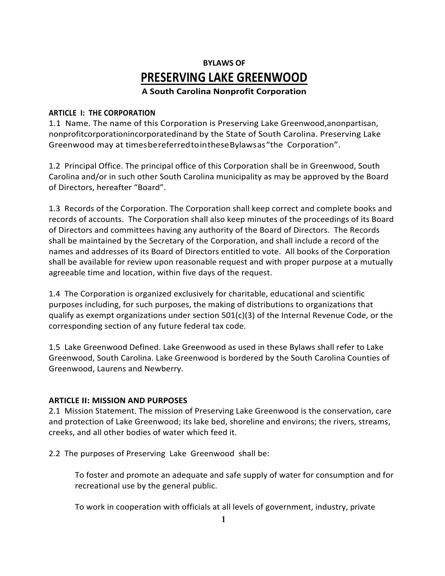# **BYLAWS OF PRESERVING LAKE GREENWOOD**

**A South Carolina Nonprofit Corporation**

## **ARTICLE I: THE CORPORATION**

1.1 Name. The name of this Corporation is Preserving Lake Greenwood,anonpartisan, nonprofitcorporationincorporatedinand by the State of South Carolina. Preserving Lake Greenwood may at timesbereferredtointhese Bylawsas "the Corporation".

1.2 Principal Office. The principal office of this Corporation shall be in Greenwood, South Carolina and/or in such other South Carolina municipality as may be approved by the Board of Directors, hereafter "Board".

1.3 Records of the Corporation. The Corporation shall keep correct and complete books and records of accounts. The Corporation shall also keep minutes of the proceedings of its Board of Directors and committees having any authority of the Board of Directors. The Records shall be maintained by the Secretary of the Corporation, and shall include a record of the names and addresses of its Board of Directors entitled to vote. All books of the Corporation shall be available for review upon reasonable request and with proper purpose at a mutually agreeable time and location, within five days of the request.

1.4 The Corporation is organized exclusively for charitable, educational and scientific purposes including, for such purposes, the making of distributions to organizations that qualify as exempt organizations under section  $501(c)(3)$  of the Internal Revenue Code, or the corresponding section of any future federal tax code.

1.5 Lake Greenwood Defined. Lake Greenwood as used in these Bylaws shall refer to Lake Greenwood, South Carolina. Lake Greenwood is bordered by the South Carolina Counties of Greenwood, Laurens and Newberry.

## **ARTICLE II: MISSION AND PURPOSES**

2.1 Mission Statement. The mission of Preserving Lake Greenwood is the conservation, care and protection of Lake Greenwood; its lake bed, shoreline and environs; the rivers, streams, creeks, and all other bodies of water which feed it.

2.2 The purposes of Preserving Lake Greenwood shall be:

To foster and promote an adequate and safe supply of water for consumption and for recreational use by the general public.

To work in cooperation with officials at all levels of government, industry, private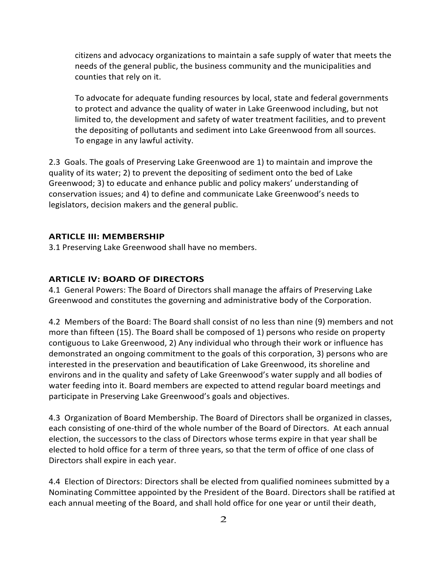citizens and advocacy organizations to maintain a safe supply of water that meets the needs of the general public, the business community and the municipalities and counties that rely on it.

To advocate for adequate funding resources by local, state and federal governments to protect and advance the quality of water in Lake Greenwood including, but not limited to, the development and safety of water treatment facilities, and to prevent the depositing of pollutants and sediment into Lake Greenwood from all sources. To engage in any lawful activity.

2.3 Goals. The goals of Preserving Lake Greenwood are 1) to maintain and improve the quality of its water; 2) to prevent the depositing of sediment onto the bed of Lake Greenwood; 3) to educate and enhance public and policy makers' understanding of conservation issues; and 4) to define and communicate Lake Greenwood's needs to legislators, decision makers and the general public.

#### **ARTICLE III: MEMBERSHIP**

3.1 Preserving Lake Greenwood shall have no members.

#### **ARTICLE IV: BOARD OF DIRECTORS**

4.1 General Powers: The Board of Directors shall manage the affairs of Preserving Lake Greenwood and constitutes the governing and administrative body of the Corporation.

4.2 Members of the Board: The Board shall consist of no less than nine (9) members and not more than fifteen  $(15)$ . The Board shall be composed of 1) persons who reside on property contiguous to Lake Greenwood, 2) Any individual who through their work or influence has demonstrated an ongoing commitment to the goals of this corporation, 3) persons who are interested in the preservation and beautification of Lake Greenwood, its shoreline and environs and in the quality and safety of Lake Greenwood's water supply and all bodies of water feeding into it. Board members are expected to attend regular board meetings and participate in Preserving Lake Greenwood's goals and objectives.

4.3 Organization of Board Membership. The Board of Directors shall be organized in classes, each consisting of one-third of the whole number of the Board of Directors. At each annual election, the successors to the class of Directors whose terms expire in that year shall be elected to hold office for a term of three years, so that the term of office of one class of Directors shall expire in each year.

4.4 Election of Directors: Directors shall be elected from qualified nominees submitted by a Nominating Committee appointed by the President of the Board. Directors shall be ratified at each annual meeting of the Board, and shall hold office for one year or until their death,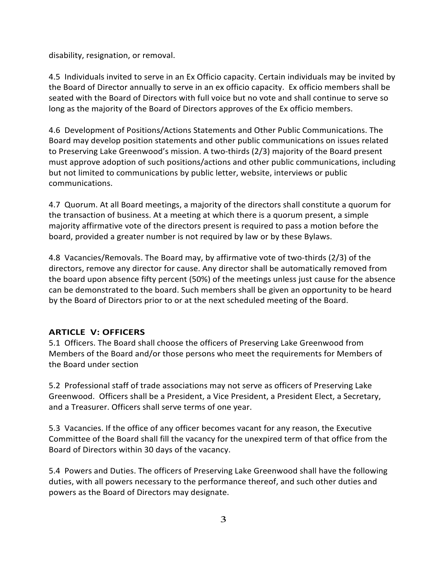disability, resignation, or removal.

4.5 Individuals invited to serve in an Ex Officio capacity. Certain individuals may be invited by the Board of Director annually to serve in an ex officio capacity. Ex officio members shall be seated with the Board of Directors with full voice but no vote and shall continue to serve so long as the majority of the Board of Directors approves of the Ex officio members.

4.6 Development of Positions/Actions Statements and Other Public Communications. The Board may develop position statements and other public communications on issues related to Preserving Lake Greenwood's mission. A two-thirds (2/3) majority of the Board present must approve adoption of such positions/actions and other public communications, including but not limited to communications by public letter, website, interviews or public communications.

4.7 Quorum. At all Board meetings, a majority of the directors shall constitute a quorum for the transaction of business. At a meeting at which there is a quorum present, a simple majority affirmative vote of the directors present is required to pass a motion before the board, provided a greater number is not required by law or by these Bylaws.

4.8 Vacancies/Removals. The Board may, by affirmative vote of two-thirds (2/3) of the directors, remove any director for cause. Any director shall be automatically removed from the board upon absence fifty percent (50%) of the meetings unless just cause for the absence can be demonstrated to the board. Such members shall be given an opportunity to be heard by the Board of Directors prior to or at the next scheduled meeting of the Board.

## **ARTICLE V: OFFICERS**

5.1 Officers. The Board shall choose the officers of Preserving Lake Greenwood from Members of the Board and/or those persons who meet the requirements for Members of the Board under section

5.2 Professional staff of trade associations may not serve as officers of Preserving Lake Greenwood. Officers shall be a President, a Vice President, a President Elect, a Secretary, and a Treasurer. Officers shall serve terms of one year.

5.3 Vacancies. If the office of any officer becomes vacant for any reason, the Executive Committee of the Board shall fill the vacancy for the unexpired term of that office from the Board of Directors within 30 days of the vacancy.

5.4 Powers and Duties. The officers of Preserving Lake Greenwood shall have the following duties, with all powers necessary to the performance thereof, and such other duties and powers as the Board of Directors may designate.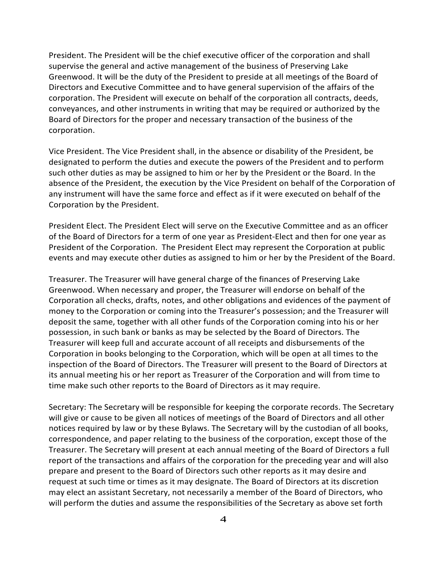President. The President will be the chief executive officer of the corporation and shall supervise the general and active management of the business of Preserving Lake Greenwood. It will be the duty of the President to preside at all meetings of the Board of Directors and Executive Committee and to have general supervision of the affairs of the corporation. The President will execute on behalf of the corporation all contracts, deeds, conveyances, and other instruments in writing that may be required or authorized by the Board of Directors for the proper and necessary transaction of the business of the corporation.

Vice President. The Vice President shall, in the absence or disability of the President, be designated to perform the duties and execute the powers of the President and to perform such other duties as may be assigned to him or her by the President or the Board. In the absence of the President, the execution by the Vice President on behalf of the Corporation of any instrument will have the same force and effect as if it were executed on behalf of the Corporation by the President.

President Elect. The President Elect will serve on the Executive Committee and as an officer of the Board of Directors for a term of one year as President-Elect and then for one year as President of the Corporation. The President Elect may represent the Corporation at public events and may execute other duties as assigned to him or her by the President of the Board.

Treasurer. The Treasurer will have general charge of the finances of Preserving Lake Greenwood. When necessary and proper, the Treasurer will endorse on behalf of the Corporation all checks, drafts, notes, and other obligations and evidences of the payment of money to the Corporation or coming into the Treasurer's possession; and the Treasurer will deposit the same, together with all other funds of the Corporation coming into his or her possession, in such bank or banks as may be selected by the Board of Directors. The Treasurer will keep full and accurate account of all receipts and disbursements of the Corporation in books belonging to the Corporation, which will be open at all times to the inspection of the Board of Directors. The Treasurer will present to the Board of Directors at its annual meeting his or her report as Treasurer of the Corporation and will from time to time make such other reports to the Board of Directors as it may require.

Secretary: The Secretary will be responsible for keeping the corporate records. The Secretary will give or cause to be given all notices of meetings of the Board of Directors and all other notices required by law or by these Bylaws. The Secretary will by the custodian of all books, correspondence, and paper relating to the business of the corporation, except those of the Treasurer. The Secretary will present at each annual meeting of the Board of Directors a full report of the transactions and affairs of the corporation for the preceding year and will also prepare and present to the Board of Directors such other reports as it may desire and request at such time or times as it may designate. The Board of Directors at its discretion may elect an assistant Secretary, not necessarily a member of the Board of Directors, who will perform the duties and assume the responsibilities of the Secretary as above set forth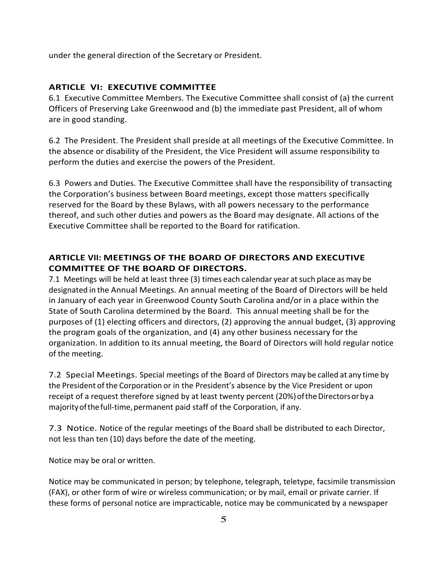under the general direction of the Secretary or President.

## **ARTICLE VI: EXECUTIVE COMMITTEE**

6.1 Executive Committee Members. The Executive Committee shall consist of (a) the current Officers of Preserving Lake Greenwood and (b) the immediate past President, all of whom are in good standing.

6.2 The President. The President shall preside at all meetings of the Executive Committee. In the absence or disability of the President, the Vice President will assume responsibility to perform the duties and exercise the powers of the President.

6.3 Powers and Duties. The Executive Committee shall have the responsibility of transacting the Corporation's business between Board meetings, except those matters specifically reserved for the Board by these Bylaws, with all powers necessary to the performance thereof, and such other duties and powers as the Board may designate. All actions of the Executive Committee shall be reported to the Board for ratification.

# **ARTICLE VII: MEETINGS OF THE BOARD OF DIRECTORS AND EXECUTIVE COMMITTEE OF THE BOARD OF DIRECTORS.**

7.1 Meetings will be held at least three (3) times each calendar year at such place as may be designated in the Annual Meetings. An annual meeting of the Board of Directors will be held in January of each year in Greenwood County South Carolina and/or in a place within the State of South Carolina determined by the Board. This annual meeting shall be for the purposes of (1) electing officers and directors, (2) approving the annual budget, (3) approving the program goals of the organization, and (4) any other business necessary for the organization. In addition to its annual meeting, the Board of Directors will hold regular notice of the meeting.

7.2 Special Meetings. Special meetings of the Board of Directors may be called at any time by the President of the Corporation or in the President's absence by the Vice President or upon receipt of a request therefore signed by at least twenty percent (20%) of the Directors or by a majority of the full-time, permanent paid staff of the Corporation, if any.

7.3 Notice. Notice of the regular meetings of the Board shall be distributed to each Director, not less than ten (10) days before the date of the meeting.

Notice may be oral or written.

Notice may be communicated in person; by telephone, telegraph, teletype, facsimile transmission (FAX), or other form of wire or wireless communication; or by mail, email or private carrier. If these forms of personal notice are impracticable, notice may be communicated by a newspaper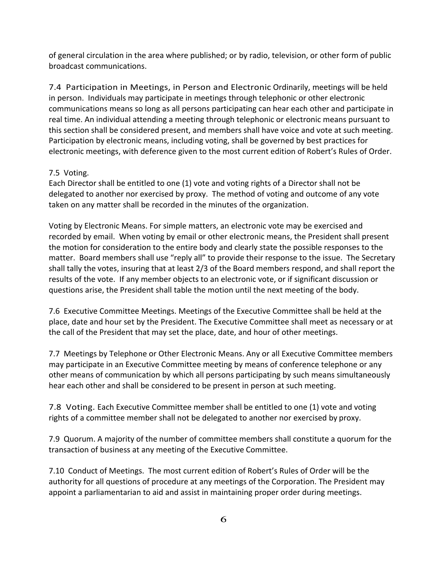of general circulation in the area where published; or by radio, television, or other form of public broadcast communications.

7.4 Participation in Meetings, in Person and Electronic Ordinarily, meetings will be held in person. Individuals may participate in meetings through telephonic or other electronic communications means so long as all persons participating can hear each other and participate in real time. An individual attending a meeting through telephonic or electronic means pursuant to this section shall be considered present, and members shall have voice and vote at such meeting. Participation by electronic means, including voting, shall be governed by best practices for electronic meetings, with deference given to the most current edition of Robert's Rules of Order.

## 7.5 Voting.

Each Director shall be entitled to one (1) vote and voting rights of a Director shall not be delegated to another nor exercised by proxy. The method of voting and outcome of any vote taken on any matter shall be recorded in the minutes of the organization.

Voting by Electronic Means. For simple matters, an electronic vote may be exercised and recorded by email. When voting by email or other electronic means, the President shall present the motion for consideration to the entire body and clearly state the possible responses to the matter. Board members shall use "reply all" to provide their response to the issue. The Secretary shall tally the votes, insuring that at least 2/3 of the Board members respond, and shall report the results of the vote. If any member objects to an electronic vote, or if significant discussion or questions arise, the President shall table the motion until the next meeting of the body.

7.6 Executive Committee Meetings. Meetings of the Executive Committee shall be held at the place, date and hour set by the President. The Executive Committee shall meet as necessary or at the call of the President that may set the place, date, and hour of other meetings.

7.7 Meetings by Telephone or Other Electronic Means. Any or all Executive Committee members may participate in an Executive Committee meeting by means of conference telephone or any other means of communication by which all persons participating by such means simultaneously hear each other and shall be considered to be present in person at such meeting.

7.8 Voting. Each Executive Committee member shall be entitled to one (1) vote and voting rights of a committee member shall not be delegated to another nor exercised by proxy.

7.9 Quorum. A majority of the number of committee members shall constitute a quorum for the transaction of business at any meeting of the Executive Committee.

7.10 Conduct of Meetings. The most current edition of Robert's Rules of Order will be the authority for all questions of procedure at any meetings of the Corporation. The President may appoint a parliamentarian to aid and assist in maintaining proper order during meetings.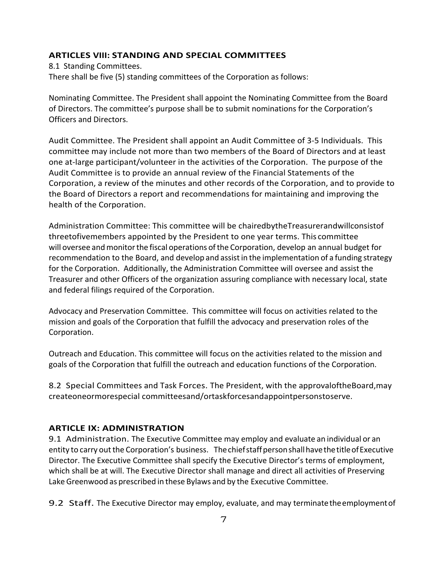#### **ARTICLES VIII: STANDING AND SPECIAL COMMITTEES**

8.1 Standing Committees. There shall be five (5) standing committees of the Corporation as follows:

Nominating Committee. The President shall appoint the Nominating Committee from the Board of Directors. The committee's purpose shall be to submit nominations for the Corporation's Officers and Directors.

Audit Committee. The President shall appoint an Audit Committee of 3-5 Individuals. This committee may include not more than two members of the Board of Directors and at least one at-large participant/volunteer in the activities of the Corporation. The purpose of the Audit Committee is to provide an annual review of the Financial Statements of the Corporation, a review of the minutes and other records of the Corporation, and to provide to the Board of Directors a report and recommendations for maintaining and improving the health of the Corporation.

Administration Committee: This committee will be chairedbytheTreasurerandwillconsistof threetofivemembers appointed by the President to one year terms. This committee will oversee and monitor the fiscal operations of the Corporation, develop an annual budget for recommendation to the Board, and develop and assist in the implementation of a funding strategy for the Corporation. Additionally, the Administration Committee will oversee and assist the Treasurer and other Officers of the organization assuring compliance with necessary local, state and federal filings required of the Corporation.

Advocacy and Preservation Committee. This committee will focus on activities related to the mission and goals of the Corporation that fulfill the advocacy and preservation roles of the Corporation.

Outreach and Education. This committee will focus on the activities related to the mission and goals of the Corporation that fulfill the outreach and education functions of the Corporation.

8.2 Special Committees and Task Forces. The President, with the approvaloftheBoard,may createoneormorespecial committeesand/ortaskforcesandappointpersonstoserve.

#### **ARTICLE IX: ADMINISTRATION**

9.1 Administration. The Executive Committee may employ and evaluate an individual or an entity to carry out the Corporation's business. The chief staff person shall have the title of Executive Director. The Executive Committee shall specify the Executive Director's terms of employment, which shall be at will. The Executive Director shall manage and direct all activities of Preserving Lake Greenwood as prescribed in these Bylaws and by the Executive Committee.

**9.2** Staff. The Executive Director may employ, evaluate, and may terminate the employment of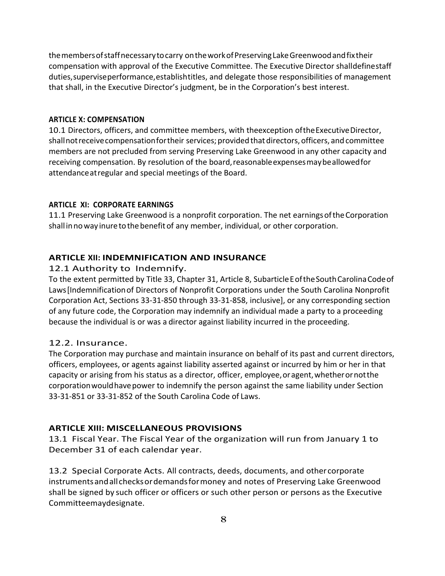themembersofstaffnecessarytocarry ontheworkofPreservingLakeGreenwoodandfixtheir compensation with approval of the Executive Committee. The Executive Director shalldefinestaff duties, supervise performance, establishtitles, and delegate those responsibilities of management that shall, in the Executive Director's judgment, be in the Corporation's best interest.

## **ARTICLE X: COMPENSATION**

10.1 Directors, officers, and committee members, with theexception of the Executive Director, shall not receive compensation for their services; provided that directors, officers, and committee members are not precluded from serving Preserving Lake Greenwood in any other capacity and receiving compensation. By resolution of the board, reasonable expenses may be allowed for attendance at regular and special meetings of the Board.

## **ARTICLE XI: CORPORATE EARNINGS**

11.1 Preserving Lake Greenwood is a nonprofit corporation. The net earnings of the Corporation shall in no way inure to the benefit of any member, individual, or other corporation.

# **ARTICLE XII: INDEMNIFICATION AND INSURANCE**

# 12.1 Authority to Indemnify.

To the extent permitted by Title 33, Chapter 31, Article 8, Subarticle E of the South Carolina Code of Laws [Indemnification of Directors of Nonprofit Corporations under the South Carolina Nonprofit Corporation Act, Sections 33-31-850 through 33-31-858, inclusive], or any corresponding section of any future code, the Corporation may indemnify an individual made a party to a proceeding because the individual is or was a director against liability incurred in the proceeding.

# 12.2. Insurance.

The Corporation may purchase and maintain insurance on behalf of its past and current directors, officers, employees, or agents against liability asserted against or incurred by him or her in that capacity or arising from his status as a director, officer, employee, oragent, whether or not the corporation would have power to indemnify the person against the same liability under Section 33-31-851 or 33-31-852 of the South Carolina Code of Laws.

# **ARTICLE XIII: MISCELLANEOUS PROVISIONS**

13.1 Fiscal Year. The Fiscal Year of the organization will run from January 1 to December 31 of each calendar year.

13.2 Special Corporate Acts. All contracts, deeds, documents, and other corporate instrumentsandallchecksordemandsformoney and notes of Preserving Lake Greenwood shall be signed by such officer or officers or such other person or persons as the Executive Committeemaydesignate.